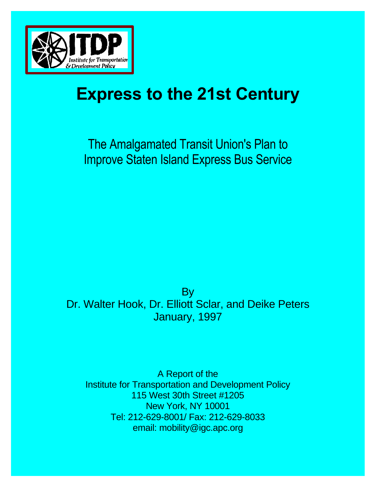

# **Express to the 21st Century**

The Amalgamated Transit Union's Plan to Improve Staten Island Express Bus Service

By Dr. Walter Hook, Dr. Elliott Sclar, and Deike Peters January, 1997

A Report of the Institute for Transportation and Development Policy 115 West 30th Street #1205 New York, NY 10001 Tel: 212-629-8001/ Fax: 212-629-8033 email: mobility@igc.apc.org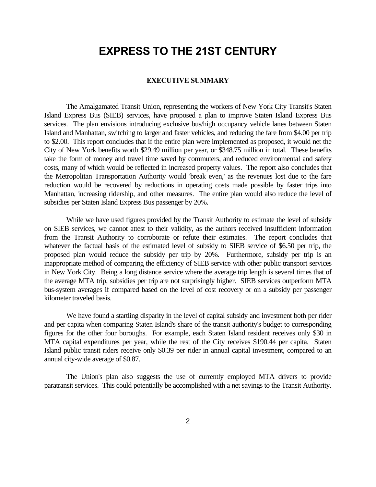# **EXPRESS TO THE 21ST CENTURY**

#### **EXECUTIVE SUMMARY**

The Amalgamated Transit Union, representing the workers of New York City Transit's Staten Island Express Bus (SIEB) services, have proposed a plan to improve Staten Island Express Bus services. The plan envisions introducing exclusive bus/high occupancy vehicle lanes between Staten Island and Manhattan, switching to larger and faster vehicles, and reducing the fare from \$4.00 per trip to \$2.00. This report concludes that if the entire plan were implemented as proposed, it would net the City of New York benefits worth \$29.49 million per year, or \$348.75 million in total. These benefits take the form of money and travel time saved by commuters, and reduced environmental and safety costs, many of which would be reflected in increased property values. The report also concludes that the Metropolitan Transportation Authority would 'break even,' as the revenues lost due to the fare reduction would be recovered by reductions in operating costs made possible by faster trips into Manhattan, increasing ridership, and other measures. The entire plan would also reduce the level of subsidies per Staten Island Express Bus passenger by 20%.

While we have used figures provided by the Transit Authority to estimate the level of subsidy on SIEB services, we cannot attest to their validity, as the authors received insufficient information from the Transit Authority to corroborate or refute their estimates. The report concludes that whatever the factual basis of the estimated level of subsidy to SIEB service of \$6.50 per trip, the proposed plan would reduce the subsidy per trip by 20%. Furthermore, subsidy per trip is an inappropriate method of comparing the efficiency of SIEB service with other public transport services in New York City. Being a long distance service where the average trip length is several times that of the average MTA trip, subsidies per trip are not surprisingly higher. SIEB services outperform MTA bus-system averages if compared based on the level of cost recovery or on a subsidy per passenger kilometer traveled basis.

We have found a startling disparity in the level of capital subsidy and investment both per rider and per capita when comparing Staten Island's share of the transit authority's budget to corresponding figures for the other four boroughs. For example, each Staten Island resident receives only \$30 in MTA capital expenditures per year, while the rest of the City receives \$190.44 per capita. Staten Island public transit riders receive only \$0.39 per rider in annual capital investment, compared to an annual city-wide average of \$0.87.

The Union's plan also suggests the use of currently employed MTA drivers to provide paratransit services. This could potentially be accomplished with a net savings to the Transit Authority.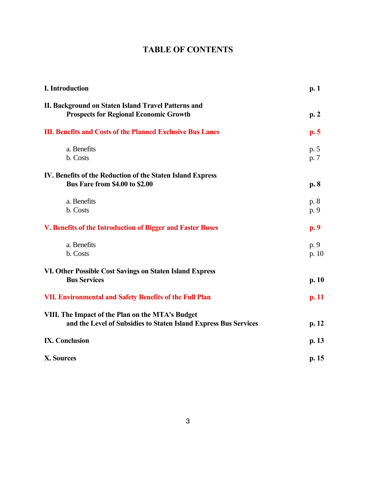# **TABLE OF CONTENTS**

| I. Introduction                                                                                                      | p.1             |
|----------------------------------------------------------------------------------------------------------------------|-----------------|
| II. Background on Staten Island Travel Patterns and<br><b>Prospects for Regional Economic Growth</b>                 | p.2             |
| <b>III. Benefits and Costs of the Planned Exclusive Bus Lanes</b>                                                    | p.5             |
| a. Benefits<br>b. Costs                                                                                              | p. 5<br>p. 7    |
| IV. Benefits of the Reduction of the Staten Island Express<br><b>Bus Fare from \$4.00 to \$2.00</b>                  | p. 8            |
| a. Benefits<br>b. Costs                                                                                              | p. 8<br>p. 9    |
| V. Benefits of the Introduction of Bigger and Faster Buses                                                           | p.9             |
| a. Benefits<br>b. Costs                                                                                              | p. 9<br>p. $10$ |
| VI. Other Possible Cost Savings on Staten Island Express<br><b>Bus Services</b>                                      | p. 10           |
| <b>VII. Environmental and Safety Benefits of the Full Plan</b>                                                       | p. 11           |
| VIII. The Impact of the Plan on the MTA's Budget<br>and the Level of Subsidies to Staten Island Express Bus Services | p. 12           |
| <b>IX. Conclusion</b>                                                                                                | p. 13           |
| X. Sources                                                                                                           | p. 15           |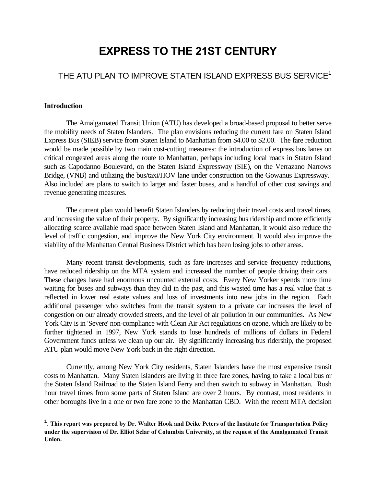# **EXPRESS TO THE 21ST CENTURY**

# THE ATU PLAN TO IMPROVE STATEN ISLAND EXPRESS BUS SERVICE<sup>1</sup>

#### **Introduction**

 $\overline{\phantom{0}}$ 

The Amalgamated Transit Union (ATU) has developed a broad-based proposal to better serve the mobility needs of Staten Islanders. The plan envisions reducing the current fare on Staten Island Express Bus (SIEB) service from Staten Island to Manhattan from \$4.00 to \$2.00. The fare reduction would be made possible by two main cost-cutting measures: the introduction of express bus lanes on critical congested areas along the route to Manhattan, perhaps including local roads in Staten Island such as Capodanno Boulevard, on the Staten Island Expressway (SIE), on the Verrazano Narrows Bridge, (VNB) and utilizing the bus/taxi/HOV lane under construction on the Gowanus Expressway. Also included are plans to switch to larger and faster buses, and a handful of other cost savings and revenue generating measures.

The current plan would benefit Staten Islanders by reducing their travel costs and travel times, and increasing the value of their property. By significantly increasing bus ridership and more efficiently allocating scarce available road space between Staten Island and Manhattan, it would also reduce the level of traffic congestion, and improve the New York City environment. It would also improve the viability of the Manhattan Central Business District which has been losing jobs to other areas.

Many recent transit developments, such as fare increases and service frequency reductions, have reduced ridership on the MTA system and increased the number of people driving their cars. These changes have had enormous uncounted external costs. Every New Yorker spends more time waiting for buses and subways than they did in the past, and this wasted time has a real value that is reflected in lower real estate values and loss of investments into new jobs in the region. Each additional passenger who switches from the transit system to a private car increases the level of congestion on our already crowded streets, and the level of air pollution in our communities. As New York City is in 'Severe' non-compliance with Clean Air Act regulations on ozone, which are likely to be further tightened in 1997, New York stands to lose hundreds of millions of dollars in Federal Government funds unless we clean up our air. By significantly increasing bus ridership, the proposed ATU plan would move New York back in the right direction.

Currently, among New York City residents, Staten Islanders have the most expensive transit costs to Manhattan. Many Staten Islanders are living in three fare zones, having to take a local bus or the Staten Island Railroad to the Staten Island Ferry and then switch to subway in Manhattan. Rush hour travel times from some parts of Staten Island are over 2 hours. By contrast, most residents in other boroughs live in a one or two fare zone to the Manhattan CBD. With the recent MTA decision

<sup>1</sup> . **This report was prepared by Dr. Walter Hook and Deike Peters of the Institute for Transportation Policy under the supervision of Dr. Elliot Sclar of Columbia University, at the request of the Amalgamated Transit Union.**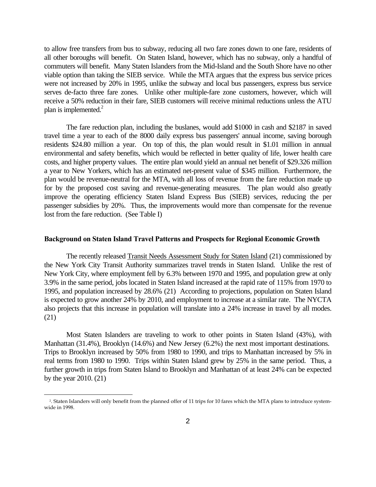to allow free transfers from bus to subway, reducing all two fare zones down to one fare, residents of all other boroughs will benefit. On Staten Island, however, which has no subway, only a handful of commuters will benefit. Many Staten Islanders from the Mid-Island and the South Shore have no other viable option than taking the SIEB service. While the MTA argues that the express bus service prices were not increased by 20% in 1995, unlike the subway and local bus passengers, express bus service serves de-facto three fare zones. Unlike other multiple-fare zone customers, however, which will receive a 50% reduction in their fare, SIEB customers will receive minimal reductions unless the ATU plan is implemented.<sup>2</sup>

The fare reduction plan, including the buslanes, would add \$1000 in cash and \$2187 in saved travel time a year to each of the 8000 daily express bus passengers' annual income, saving borough residents \$24.80 million a year. On top of this, the plan would result in \$1.01 million in annual environmental and safety benefits, which would be reflected in better quality of life, lower health care costs, and higher property values. The entire plan would yield an annual net benefit of \$29.326 million a year to New Yorkers, which has an estimated net-present value of \$345 million. Furthermore, the plan would be revenue-neutral for the MTA, with all loss of revenue from the fare reduction made up for by the proposed cost saving and revenue-generating measures. The plan would also greatly improve the operating efficiency Staten Island Express Bus (SIEB) services, reducing the per passenger subsidies by 20%. Thus, the improvements would more than compensate for the revenue lost from the fare reduction. (See Table I)

#### **Background on Staten Island Travel Patterns and Prospects for Regional Economic Growth**

The recently released Transit Needs Assessment Study for Staten Island (21) commissioned by the New York City Transit Authority summarizes travel trends in Staten Island. Unlike the rest of New York City, where employment fell by 6.3% between 1970 and 1995, and population grew at only 3.9% in the same period, jobs located in Staten Island increased at the rapid rate of 115% from 1970 to 1995, and population increased by 28.6% (21) According to projections, population on Staten Island is expected to grow another 24% by 2010, and employment to increase at a similar rate. The NYCTA also projects that this increase in population will translate into a 24% increase in travel by all modes. (21)

Most Staten Islanders are traveling to work to other points in Staten Island (43%), with Manhattan (31.4%), Brooklyn (14.6%) and New Jersey (6.2%) the next most important destinations. Trips to Brooklyn increased by 50% from 1980 to 1990, and trips to Manhattan increased by 5% in real terms from 1980 to 1990. Trips within Staten Island grew by 25% in the same period. Thus, a further growth in trips from Staten Island to Brooklyn and Manhattan of at least 24% can be expected by the year 2010. (21)

<sup>2</sup> . Staten Islanders will only benefit from the planned offer of 11 trips for 10 fares which the MTA plans to introduce systemwide in 1998.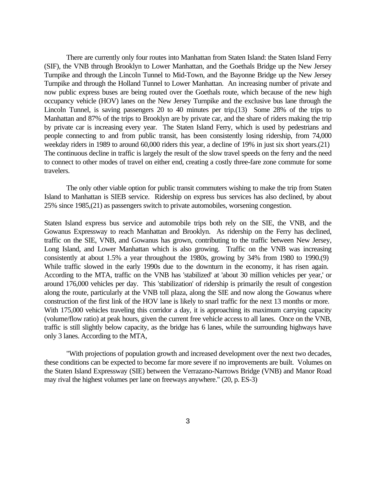There are currently only four routes into Manhattan from Staten Island: the Staten Island Ferry (SIF), the VNB through Brooklyn to Lower Manhattan, and the Goethals Bridge up the New Jersey Turnpike and through the Lincoln Tunnel to Mid-Town, and the Bayonne Bridge up the New Jersey Turnpike and through the Holland Tunnel to Lower Manhattan. An increasing number of private and now public express buses are being routed over the Goethals route, which because of the new high occupancy vehicle (HOV) lanes on the New Jersey Turnpike and the exclusive bus lane through the Lincoln Tunnel, is saving passengers 20 to 40 minutes per trip.(13) Some 28% of the trips to Manhattan and 87% of the trips to Brooklyn are by private car, and the share of riders making the trip by private car is increasing every year. The Staten Island Ferry, which is used by pedestrians and people connecting to and from public transit, has been consistently losing ridership, from 74,000 weekday riders in 1989 to around 60,000 riders this year, a decline of 19% in just six short years.(21) The continuous decline in traffic is largely the result of the slow travel speeds on the ferry and the need to connect to other modes of travel on either end, creating a costly three-fare zone commute for some travelers.

The only other viable option for public transit commuters wishing to make the trip from Staten Island to Manhattan is SIEB service. Ridership on express bus services has also declined, by about 25% since 1985,(21) as passengers switch to private automobiles, worsening congestion.

Staten Island express bus service and automobile trips both rely on the SIE, the VNB, and the Gowanus Expressway to reach Manhattan and Brooklyn. As ridership on the Ferry has declined, traffic on the SIE, VNB, and Gowanus has grown, contributing to the traffic between New Jersey, Long Island, and Lower Manhattan which is also growing. Traffic on the VNB was increasing consistently at about 1.5% a year throughout the 1980s, growing by 34% from 1980 to 1990.(9) While traffic slowed in the early 1990s due to the downturn in the economy, it has risen again. According to the MTA, traffic on the VNB has 'stabilized' at 'about 30 million vehicles per year,' or around 176,000 vehicles per day. This 'stabilization' of ridership is primarily the result of congestion along the route, particularly at the VNB toll plaza, along the SIE and now along the Gowanus where construction of the first link of the HOV lane is likely to snarl traffic for the next 13 months or more. With 175,000 vehicles traveling this corridor a day, it is approaching its maximum carrying capacity (volume/flow ratio) at peak hours, given the current free vehicle access to all lanes. Once on the VNB, traffic is still slightly below capacity, as the bridge has 6 lanes, while the surrounding highways have only 3 lanes. According to the MTA,

"With projections of population growth and increased development over the next two decades, these conditions can be expected to become far more severe if no improvements are built. Volumes on the Staten Island Expressway (SIE) between the Verrazano-Narrows Bridge (VNB) and Manor Road may rival the highest volumes per lane on freeways anywhere." (20, p. ES-3)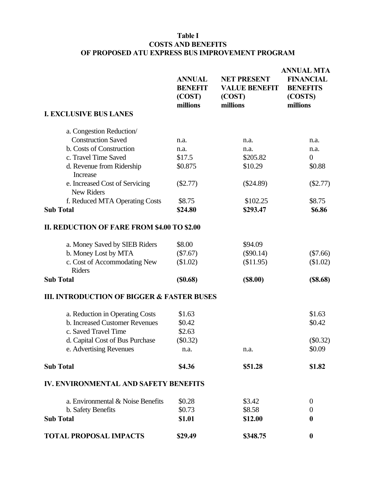### **Table I COSTS AND BENEFITS OF PROPOSED ATU EXPRESS BUS IMPROVEMENT PROGRAM**

|                                                       | <b>ANNUAL</b><br><b>BENEFIT</b><br>(COST)<br>millions | <b>NET PRESENT</b><br><b>VALUE BENEFIT</b><br>(COST)<br>millions | <b>ANNUAL MTA</b><br><b>FINANCIAL</b><br><b>BENEFITS</b><br>(COSTS)<br>millions |
|-------------------------------------------------------|-------------------------------------------------------|------------------------------------------------------------------|---------------------------------------------------------------------------------|
| <b>I. EXCLUSIVE BUS LANES</b>                         |                                                       |                                                                  |                                                                                 |
| a. Congestion Reduction/                              |                                                       |                                                                  |                                                                                 |
| <b>Construction Saved</b>                             | n.a.                                                  | n.a.                                                             | n.a.                                                                            |
| b. Costs of Construction                              | n.a.                                                  | n.a.                                                             | n.a.                                                                            |
| c. Travel Time Saved                                  | \$17.5                                                | \$205.82                                                         | $\overline{0}$                                                                  |
| d. Revenue from Ridership                             | \$0.875                                               | \$10.29                                                          | \$0.88                                                                          |
| Increase                                              |                                                       |                                                                  |                                                                                 |
| e. Increased Cost of Servicing                        | $(\$2.77)$                                            | $(\$24.89)$                                                      | $(\$2.77)$                                                                      |
| <b>New Riders</b>                                     |                                                       |                                                                  |                                                                                 |
| f. Reduced MTA Operating Costs                        | \$8.75                                                | \$102.25                                                         | \$8.75                                                                          |
| <b>Sub Total</b>                                      | \$24.80                                               | \$293.47                                                         | \$6.86                                                                          |
|                                                       |                                                       |                                                                  |                                                                                 |
| <b>II. REDUCTION OF FARE FROM \$4.00 TO \$2.00</b>    |                                                       |                                                                  |                                                                                 |
| a. Money Saved by SIEB Riders                         | \$8.00                                                | \$94.09                                                          |                                                                                 |
| b. Money Lost by MTA                                  | $(\$7.67)$                                            | $(\$90.14)$                                                      | $(\$7.66)$                                                                      |
| c. Cost of Accommodating New                          | (\$1.02)                                              | (\$11.95)                                                        | \$1.02)                                                                         |
| <b>Riders</b>                                         |                                                       |                                                                  |                                                                                 |
| <b>Sub Total</b>                                      | (S0.68)                                               | (S8.00)                                                          | (S8.68)                                                                         |
| <b>III. INTRODUCTION OF BIGGER &amp; FASTER BUSES</b> |                                                       |                                                                  |                                                                                 |
| a. Reduction in Operating Costs                       | \$1.63                                                |                                                                  | \$1.63                                                                          |
| b. Increased Customer Revenues                        | \$0.42                                                |                                                                  | \$0.42                                                                          |
| c. Saved Travel Time                                  | \$2.63                                                |                                                                  |                                                                                 |
| d. Capital Cost of Bus Purchase                       | $(\$0.32)$                                            |                                                                  | (\$0.32)                                                                        |
| e. Advertising Revenues                               | n.a.                                                  | n.a.                                                             | \$0.09                                                                          |
| <b>Sub Total</b>                                      | \$4.36                                                | \$51.28                                                          | \$1.82                                                                          |
| <b>IV. ENVIRONMENTAL AND SAFETY BENEFITS</b>          |                                                       |                                                                  |                                                                                 |
| a. Environmental & Noise Benefits                     | \$0.28                                                | \$3.42                                                           | $\theta$                                                                        |
| b. Safety Benefits                                    | \$0.73                                                | \$8.58                                                           | $\boldsymbol{0}$                                                                |
| <b>Sub Total</b>                                      | \$1.01                                                | \$12.00                                                          | $\boldsymbol{0}$                                                                |
| <b>TOTAL PROPOSAL IMPACTS</b>                         | \$29.49                                               | \$348.75                                                         | $\boldsymbol{0}$                                                                |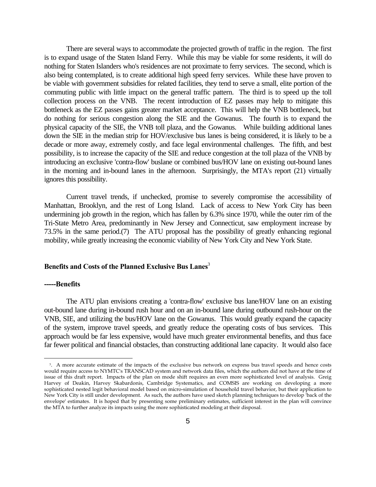<span id="page-7-0"></span>There are several ways to accommodate the projected growth of traffic in the region. The first is to expand usage of the Staten Island Ferry. While this may be viable for some residents, it will do nothing for Staten Islanders who's residences are not proximate to ferry services. The second, which is also being contemplated, is to create additional high speed ferry services. While these have proven to be viable with government subsidies for related facilities, they tend to serve a small, elite portion of the commuting public with little impact on the general traffic pattern. The third is to speed up the toll collection process on the VNB. The recent introduction of EZ passes may help to mitigate this bottleneck as the EZ passes gains greater market acceptance. This will help the VNB bottleneck, but do nothing for serious congestion along the SIE and the Gowanus. The fourth is to expand the physical capacity of the SIE, the VNB toll plaza, and the Gowanus. While building additional lanes down the SIE in the median strip for HOV/exclusive bus lanes is being considered, it is likely to be a decade or more away, extremely costly, and face legal environmental challenges. The fifth, and best possibility, is to increase the capacity of the SIE and reduce congestion at the toll plaza of the VNB by introducing an exclusive 'contra-flow' buslane or combined bus/HOV lane on existing out-bound lanes in the morning and in-bound lanes in the afternoon. Surprisingly, the MTA's report (21) virtually ignores this possibility.

Current travel trends, if unchecked, promise to severely compromise the accessibility of Manhattan, Brooklyn, and the rest of Long Island. Lack of access to New York City has been undermining job growth in the region, which has fallen by 6.3% since 1970, while the outer rim of the Tri-State Metro Area, predominantly in New Jersey and Connecticut, saw employment increase by 73.5% in the same period.(7) The ATU proposal has the possibility of greatly enhancing regional mobility, while greatly increasing the economic viability of New York City and New York State.

#### **Benefits and Costs of the Planned Exclusive Bus Lanes**<sup>3</sup>

#### **-----Benefits**

i

The ATU plan envisions creating a 'contra-flow' exclusive bus lane/HOV lane on an existing out-bound lane during in-bound rush hour and on an in-bound lane during outbound rush-hour on the VNB, SIE, and utilizing the bus/HOV lane on the Gowanus. This would greatly expand the capacity of the system, improve travel speeds, and greatly reduce the operating costs of bus services. This approach would be far less expensive, would have much greater environmental benefits, and thus face far fewer political and financial obstacles, than constructing additional lane capacity. It would also face

<sup>3</sup> . A more accurate estimate of the impacts of the exclusive bus network on express bus travel speeds and hence costs would require access to NYMTC's TRANSCAD system and network data files, which the authors did not have at the time of issue of this draft report. Impacts of the plan on mode shift requires an even more sophisticated level of analysis. Greig Harvey of Deakin, Harvey Skabardonis, Cambridge Systematics, and COMSIS are working on developing a more sophisticated nested logit behavioral model based on micro-simulation of household travel behavior, but their application to New York City is still under development. As such, the authors have used sketch planning techniques to develop 'back of the envelope' estimates. It is hoped that by presenting some preliminary estimates, sufficient interest in the plan will convince the MTA to further analyze its impacts using the more sophisticated modeling at their disposal.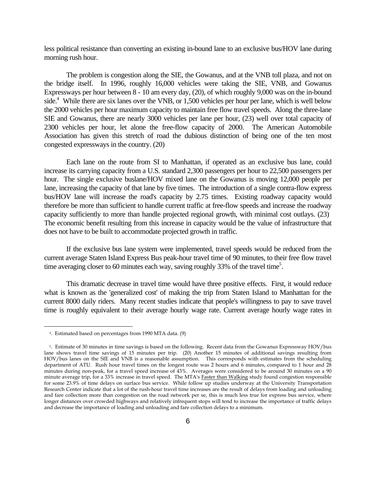less political resistance than converting an existing in-bound lane to an exclusive bus/HOV lane during morning rush hour.

The problem is congestion along the SIE, the Gowanus, and at the VNB toll plaza, and not on the bridge itself. In 1996, roughly 16,000 vehicles were taking the SIE, VNB, and Gowanus Expressways per hour between 8 - 10 am every day, (20), of which roughly 9,000 was on the in-bound side.<sup>4</sup> While there are six lanes over the VNB, or 1,500 vehicles per hour per lane, which is well below the 2000 vehicles per hour maximum capacity to maintain free flow travel speeds. Along the three-lane SIE and Gowanus, there are nearly 3000 vehicles per lane per hour, (23) well over total capacity of 2300 vehicles per hour, let alone the free-flow capacity of 2000. The American Automobile Association has given this stretch of road the dubious distinction of being one of the ten most congested expressways in the country. (20)

Each lane on the route from SI to Manhattan, if operated as an exclusive bus lane, could increase its carrying capacity from a U.S. standard 2,300 passengers per hour to 22,500 passengers per hour. The single exclusive buslane/HOV mixed lane on the Gowanus is moving 12,000 people per lane, increasing the capacity of that lane by five times. The introduction of a single contra-flow express bus/HOV lane will increase the road's capacity by 2.75 times. Existing roadway capacity would therefore be more than sufficient to handle current traffic at free-flow speeds and increase the roadway capacity sufficiently to more than handle projected regional growth, with minimal cost outlays. (23) The economic benefit resulting from this increase in capacity would be the value of infrastructure that does not have to be built to accommodate projected growth in traffic.

If the exclusive bus lane system were implemented, travel speeds would be reduced from the current average Staten Island Express Bus peak-hour travel time of 90 minutes, to their free flow travel time averaging closer to 60 minutes each way, saving roughly 33% of the travel time<sup>5</sup>.

This dramatic decrease in travel time would have three positive effects. First, it would reduce what is known as the 'generalized cost' of making the trip from Staten Island to Manhattan for the current 8000 daily riders. Many recent studies indicate that people's willingness to pay to save travel time is roughly equivalent to their average hourly wage rate. Current average hourly wage rates in

 $\overline{\phantom{0}}$ 

<sup>4</sup> . Estimated based on percentages from 1990 MTA data. (9)

<sup>5</sup> . Estimate of 30 minutes in time savings is based on the following. Recent data from the Gowanus Expressway HOV/bus lane shows travel time savings of 15 minutes per trip. (20) Another 15 minutes of additional savings resulting from HOV/bus lanes on the SIE and VNB is a reasonable assumption. This corresponds with estimates from the scheduling department of ATU. Rush hour travel times on the longest route was 2 hours and 6 minutes, compared to 1 hour and 28 minutes during non-peak, for a travel speed increase of 43%. Averages were considered to be around 30 minutes on a 90 minute average trip, for a 33% increase in travel speed. The MTA's Faster than Walking study found congestion responsible for some 23.9% of time delays on surface bus service. While follow up studies underway at the University Transportation Research Center indicate that a lot of the rush-hour travel time increases are the result of delays from loading and unloading and fare collection more than congestion on the road network per se, this is much less true for express bus service, where longer distances over crowded highways and relatively infrequent stops will tend to increase the importance of traffic delays and decrease the importance of loading and unloading and fare collection delays to a minimum.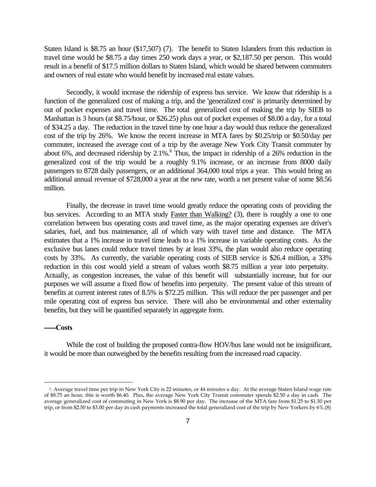Staten Island is \$8.75 an hour (\$17,507) (7). The benefit to Staten Islanders from this reduction in travel time would be \$8.75 a day times 250 work days a year, or \$2,187.50 per person. This would result in a benefit of \$17.5 million dollars to Staten Island, which would be shared between commuters and owners of real estate who would benefit by increased real estate values.

Secondly, it would increase the ridership of express bus service. We know that ridership is a function of the generalized cost of making a trip, and the 'generalized cost' is primarily determined by out of pocket expenses and travel time. The total generalized cost of making the trip by SIEB to Manhattan is 3 hours (at \$8.75/hour, or \$26.25) plus out of pocket expenses of \$8.00 a day, for a total of \$34.25 a day. The reduction in the travel time by one hour a day would thus reduce the generalized cost of the trip by 26%. We know the recent increase in MTA fares by \$0.25/trip or \$0.50/day per commuter, increased the average cost of a trip by the average New York City Transit commuter by about 6%, and decreased ridership by  $2.1\%$ . Thus, the impact in ridership of a 26% reduction in the generalized cost of the trip would be a roughly 9.1% increase, or an increase from 8000 daily passengers to 8728 daily passengers, or an additional 364,000 total trips a year. This would bring an additional annual revenue of \$728,000 a year at the new rate, worth a net present value of some \$8.56 million.

Finally, the decrease in travel time would greatly reduce the operating costs of providing the bus services. According to an MTA study Faster than Walking? (3), there is roughly a one to one correlation between bus operating costs and travel time, as the major operating expenses are driver's salaries, fuel, and bus maintenance, all of which vary with travel time and distance. The MTA estimates that a 1% increase in travel time leads to a 1% increase in variable operating costs. As the exclusive bus lanes could reduce travel times by at least 33%, the plan would also reduce operating costs by 33%. As currently, the variable operating costs of SIEB service is \$26.4 million, a 33% reduction in this cost would yield a stream of values worth \$8.75 million a year into perpetuity. Actually, as congestion increases, the value of this benefit will substantially increase, but for our purposes we will assume a fixed flow of benefits into perpetuity. The present value of this stream of benefits at current interest rates of 8.5% is \$72.25 million. This will reduce the per passenger and per mile operating cost of express bus service. There will also be environmental and other externality benefits, but they will be quantified separately in aggregate form.

#### **-----Costs**

i

While the cost of building the proposed contra-flow HOV/bus lane would not be insignificant, it would be more than outweighed by the benefits resulting from the increased road capacity.

<sup>6</sup> . Average travel time per trip in New York City is 22 minutes, or 44 minutes a day. At the average Staten Island wage rate of \$8.75 an hour, this is worth \$6.40. Plus, the average New York City Transit commuter spends \$2.50 a day in cash. The average generalized cost of commuting in New York is \$8.90 per day. The increase of the MTA fare from \$1.25 to \$1.50 per trip, or from \$2.50 to \$3.00 per day in cash payments increased the total generalized cost of the trip by New Yorkers by 6%.(8)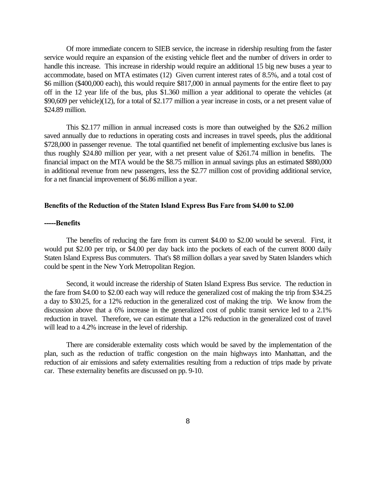<span id="page-10-0"></span>Of more immediate concern to SIEB service, the increase in ridership resulting from the faster service would require an expansion of the existing vehicle fleet and the number of drivers in order to handle this increase. This increase in ridership would require an additional 15 big new buses a year to accommodate, based on MTA estimates (12) Given current interest rates of 8.5%, and a total cost of \$6 million (\$400,000 each), this would require \$817,000 in annual payments for the entire fleet to pay off in the 12 year life of the bus, plus \$1.360 million a year additional to operate the vehicles (at \$90,609 per vehicle)(12), for a total of \$2.177 million a year increase in costs, or a net present value of \$24.89 million.

This \$2.177 million in annual increased costs is more than outweighed by the \$26.2 million saved annually due to reductions in operating costs and increases in travel speeds, plus the additional \$728,000 in passenger revenue. The total quantified net benefit of implementing exclusive bus lanes is thus roughly \$24.80 million per year, with a net present value of \$261.74 million in benefits. The financial impact on the MTA would be the \$8.75 million in annual savings plus an estimated \$880,000 in additional revenue from new passengers, less the \$2.77 million cost of providing additional service, for a net financial improvement of \$6.86 million a year.

#### **Benefits of the Reduction of the Staten Island Express Bus Fare from \$4.00 to \$2.00**

#### **-----Benefits**

The benefits of reducing the fare from its current \$4.00 to \$2.00 would be several. First, it would put \$2.00 per trip, or \$4.00 per day back into the pockets of each of the current 8000 daily Staten Island Express Bus commuters. That's \$8 million dollars a year saved by Staten Islanders which could be spent in the New York Metropolitan Region.

Second, it would increase the ridership of Staten Island Express Bus service. The reduction in the fare from \$4.00 to \$2.00 each way will reduce the generalized cost of making the trip from \$34.25 a day to \$30.25, for a 12% reduction in the generalized cost of making the trip. We know from the discussion above that a 6% increase in the generalized cost of public transit service led to a 2.1% reduction in travel. Therefore, we can estimate that a 12% reduction in the generalized cost of travel will lead to a 4.2% increase in the level of ridership.

There are considerable externality costs which would be saved by the implementation of the plan, such as the reduction of traffic congestion on the main highways into Manhattan, and the reduction of air emissions and safety externalities resulting from a reduction of trips made by private car. These externality benefits are discussed on pp. 9-10.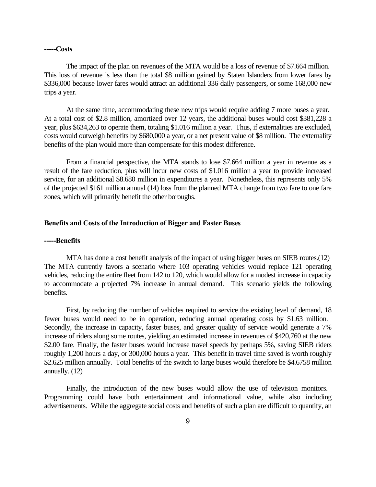#### **-----Costs**

The impact of the plan on revenues of the MTA would be a loss of revenue of \$7.664 million. This loss of revenue is less than the total \$8 million gained by Staten Islanders from lower fares by \$336,000 because lower fares would attract an additional 336 daily passengers, or some 168,000 new trips a year.

At the same time, accommodating these new trips would require adding 7 more buses a year. At a total cost of \$2.8 million, amortized over 12 years, the additional buses would cost \$381,228 a year, plus \$634,263 to operate them, totaling \$1.016 million a year. Thus, if externalities are excluded, costs would outweigh benefits by \$680,000 a year, or a net present value of \$8 million. The externality benefits of the plan would more than compensate for this modest difference.

From a financial perspective, the MTA stands to lose \$7.664 million a year in revenue as a result of the fare reduction, plus will incur new costs of \$1.016 million a year to provide increased service, for an additional \$8.680 million in expenditures a year. Nonetheless, this represents only 5% of the projected \$161 million annual (14) loss from the planned MTA change from two fare to one fare zones, which will primarily benefit the other boroughs.

#### **Benefits and Costs of the Introduction of Bigger and Faster Buses**

#### **-----Benefits**

MTA has done a cost benefit analysis of the impact of using bigger buses on SIEB routes.(12) The MTA currently favors a scenario where 103 operating vehicles would replace 121 operating vehicles, reducing the entire fleet from 142 to 120, which would allow for a modest increase in capacity to accommodate a projected 7% increase in annual demand. This scenario yields the following benefits.

First, by reducing the number of vehicles required to service the existing level of demand, 18 fewer buses would need to be in operation, reducing annual operating costs by \$1.63 million. Secondly, the increase in capacity, faster buses, and greater quality of service would generate a 7% increase of riders along some routes, yielding an estimated increase in revenues of \$420,760 at the new \$2.00 fare. Finally, the faster buses would increase travel speeds by perhaps 5%, saving SIEB riders roughly 1,200 hours a day, or 300,000 hours a year. This benefit in travel time saved is worth roughly \$2.625 million annually. Total benefits of the switch to large buses would therefore be \$4.6758 million annually. (12)

Finally, the introduction of the new buses would allow the use of television monitors. Programming could have both entertainment and informational value, while also including advertisements. While the aggregate social costs and benefits of such a plan are difficult to quantify, an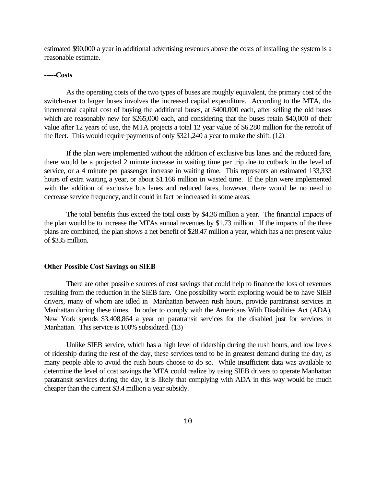estimated \$90,000 a year in additional advertising revenues above the costs of installing the system is a reasonable estimate.

#### **-----Costs**

As the operating costs of the two types of buses are roughly equivalent, the primary cost of the switch-over to larger buses involves the increased capital expenditure. According to the MTA, the incremental capital cost of buying the additional buses, at \$400,000 each, after selling the old buses which are reasonably new for \$265,000 each, and considering that the buses retain \$40,000 of their value after 12 years of use, the MTA projects a total 12 year value of \$6.280 million for the retrofit of the fleet. This would require payments of only \$321,240 a year to make the shift. (12)

If the plan were implemented without the addition of exclusive bus lanes and the reduced fare, there would be a projected 2 minute increase in waiting time per trip due to cutback in the level of service, or a 4 minute per passenger increase in waiting time. This represents an estimated 133,333 hours of extra waiting a year, or about \$1.166 million in wasted time. If the plan were implemented with the addition of exclusive bus lanes and reduced fares, however, there would be no need to decrease service frequency, and it could in fact be increased in some areas.

The total benefits thus exceed the total costs by \$4.36 million a year. The financial impacts of the plan would be to increase the MTAs annual revenues by \$1.73 million. If the impacts of the three plans are combined, the plan shows a net benefit of \$28.47 million a year, which has a net present value of \$335 million.

#### **Other Possible Cost Savings on SIEB**

There are other possible sources of cost savings that could help to finance the loss of revenues resulting from the reduction in the SIEB fare. One possibility worth exploring would be to have SIEB drivers, many of whom are idled in Manhattan between rush hours, provide paratransit services in Manhattan during these times. In order to comply with the Americans With Disabilities Act (ADA), New York spends \$3,408,864 a year on paratransit services for the disabled just for services in Manhattan. This service is 100% subsidized. (13)

Unlike SIEB service, which has a high level of ridership during the rush hours, and low levels of ridership during the rest of the day, these services tend to be in greatest demand during the day, as many people able to avoid the rush hours choose to do so. While insufficient data was available to determine the level of cost savings the MTA could realize by using SIEB drivers to operate Manhattan paratransit services during the day, it is likely that complying with ADA in this way would be much cheaper than the current \$3.4 million a year subsidy.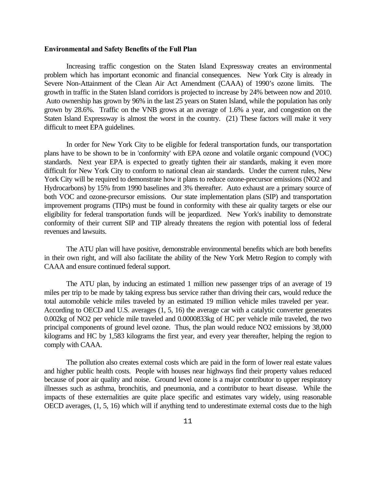#### <span id="page-13-0"></span>**Environmental and Safety Benefits of the Full Plan**

Increasing traffic congestion on the Staten Island Expressway creates an environmental problem which has important economic and financial consequences. New York City is already in Severe Non-Attainment of the Clean Air Act Amendment (CAAA) of 1990's ozone limits. The growth in traffic in the Staten Island corridors is projected to increase by 24% between now and 2010. Auto ownership has grown by 96% in the last 25 years on Staten Island, while the population has only grown by 28.6%. Traffic on the VNB grows at an average of 1.6% a year, and congestion on the Staten Island Expressway is almost the worst in the country. (21) These factors will make it very difficult to meet EPA guidelines.

In order for New York City to be eligible for federal transportation funds, our transportation plans have to be shown to be in 'conformity' with EPA ozone and volatile organic compound (VOC) standards. Next year EPA is expected to greatly tighten their air standards, making it even more difficult for New York City to conform to national clean air standards. Under the current rules, New York City will be required to demonstrate how it plans to reduce ozone-precursor emissions (NO2 and Hydrocarbons) by 15% from 1990 baselines and 3% thereafter. Auto exhaust are a primary source of both VOC and ozone-precursor emissions. Our state implementation plans (SIP) and transportation improvement programs (TIPs) must be found in conformity with these air quality targets or else our eligibility for federal transportation funds will be jeopardized. New York's inability to demonstrate conformity of their current SIP and TIP already threatens the region with potential loss of federal revenues and lawsuits.

The ATU plan will have positive, demonstrable environmental benefits which are both benefits in their own right, and will also facilitate the ability of the New York Metro Region to comply with CAAA and ensure continued federal support.

The ATU plan, by inducing an estimated 1 million new passenger trips of an average of 19 miles per trip to be made by taking express bus service rather than driving their cars, would reduce the total automobile vehicle miles traveled by an estimated 19 million vehicle miles traveled per year. According to OECD and U.S. averages (1, 5, 16) the average car with a catalytic converter generates 0.002kg of NO2 per vehicle mile traveled and 0.0000833kg of HC per vehicle mile traveled, the two principal components of ground level ozone. Thus, the plan would reduce NO2 emissions by 38,000 kilograms and HC by 1,583 kilograms the first year, and every year thereafter, helping the region to comply with CAAA.

The pollution also creates external costs which are paid in the form of lower real estate values and higher public health costs. People with houses near highways find their property values reduced because of poor air quality and noise. Ground level ozone is a major contributor to upper respiratory illnesses such as asthma, bronchitis, and pneumonia, and a contributor to heart disease. While the impacts of these externalities are quite place specific and estimates vary widely, using reasonable OECD averages, (1, 5, 16) which will if anything tend to underestimate external costs due to the high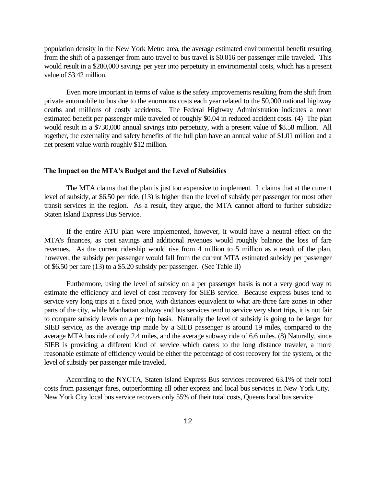population density in the New York Metro area, the average estimated environmental benefit resulting from the shift of a passenger from auto travel to bus travel is \$0.016 per passenger mile traveled. This would result in a \$280,000 savings per year into perpetuity in environmental costs, which has a present value of \$3.42 million.

Even more important in terms of value is the safety improvements resulting from the shift from private automobile to bus due to the enormous costs each year related to the 50,000 national highway deaths and millions of costly accidents. The Federal Highway Administration indicates a mean estimated benefit per passenger mile traveled of roughly \$0.04 in reduced accident costs. (4) The plan would result in a \$730,000 annual savings into perpetuity, with a present value of \$8.58 million. All together, the externality and safety benefits of the full plan have an annual value of \$1.01 million and a net present value worth roughly \$12 million.

#### **The Impact on the MTA's Budget and the Level of Subsidies**

The MTA claims that the plan is just too expensive to implement. It claims that at the current level of subsidy, at \$6.50 per ride, (13) is higher than the level of subsidy per passenger for most other transit services in the region. As a result, they argue, the MTA cannot afford to further subsidize Staten Island Express Bus Service.

If the entire ATU plan were implemented, however, it would have a neutral effect on the MTA's finances, as cost savings and additional revenues would roughly balance the loss of fare revenues. As the current ridership would rise from 4 million to 5 million as a result of the plan, however, the subsidy per passenger would fall from the current MTA estimated subsidy per passenger of \$6.50 per fare (13) to a \$5.20 subsidy per passenger. (See Table II)

Furthermore, using the level of subsidy on a per passenger basis is not a very good way to estimate the efficiency and level of cost recovery for SIEB service. Because express buses tend to service very long trips at a fixed price, with distances equivalent to what are three fare zones in other parts of the city, while Manhattan subway and bus services tend to service very short trips, it is not fair to compare subsidy levels on a per trip basis. Naturally the level of subsidy is going to be larger for SIEB service, as the average trip made by a SIEB passenger is around 19 miles, compared to the average MTA bus ride of only 2.4 miles, and the average subway ride of 6.6 miles. (8) Naturally, since SIEB is providing a different kind of service which caters to the long distance traveler, a more reasonable estimate of efficiency would be either the percentage of cost recovery for the system, or the level of subsidy per passenger mile traveled.

According to the NYCTA, Staten Island Express Bus services recovered 63.1% of their total costs from passenger fares, outperforming all other express and local bus services in New York City. New York City local bus service recovers only 55% of their total costs, Queens local bus service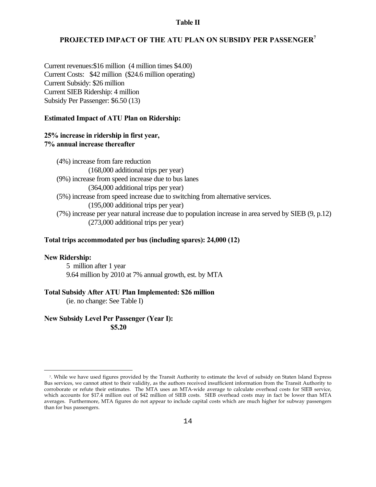#### **Table II**

### **PROJECTED IMPACT OF THE ATU PLAN ON SUBSIDY PER PASSENGER<sup>7</sup>**

Current revenues:\$16 million (4 million times \$4.00) Current Costs: \$42 million (\$24.6 million operating) Current Subsidy: \$26 million Current SIEB Ridership: 4 million Subsidy Per Passenger: \$6.50 (13)

#### **Estimated Impact of ATU Plan on Ridership:**

### **25% increase in ridership in first year, 7% annual increase thereafter**

 (4%) increase from fare reduction (168,000 additional trips per year) (9%) increase from speed increase due to bus lanes (364,000 additional trips per year) (5%) increase from speed increase due to switching from alternative services. (195,000 additional trips per year) (7%) increase per year natural increase due to population increase in area served by SIEB (9, p.12) (273,000 additional trips per year)

#### **Total trips accommodated per bus (including spares): 24,000 (12)**

#### **New Ridership:**

÷,

5 million after 1 year 9.64 million by 2010 at 7% annual growth, est. by MTA

#### **Total Subsidy After ATU Plan Implemented: \$26 million**

(ie. no change: See Table I)

# **New Subsidy Level Per Passenger (Year I):**

**\$5.20**

<sup>7</sup> . While we have used figures provided by the Transit Authority to estimate the level of subsidy on Staten Island Express Bus services, we cannot attest to their validity, as the authors received insufficient information from the Transit Authority to corroborate or refute their estimates. The MTA uses an MTA-wide average to calculate overhead costs for SIEB service, which accounts for \$17.4 million out of \$42 million of SIEB costs. SIEB overhead costs may in fact be lower than MTA averages. Furthermore, MTA figures do not appear to include capital costs which are much higher for subway passengers than for bus passengers.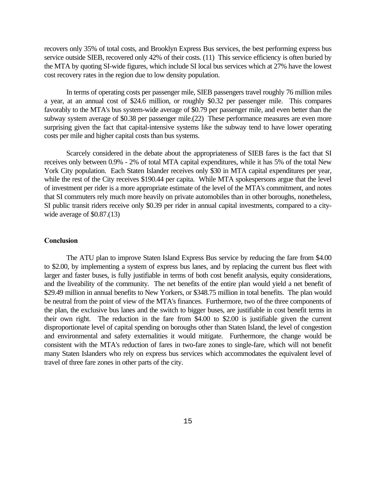recovers only 35% of total costs, and Brooklyn Express Bus services, the best performing express bus service outside SIEB, recovered only 42% of their costs. (11) This service efficiency is often buried by the MTA by quoting SI-wide figures, which include SI local bus services which at 27% have the lowest cost recovery rates in the region due to low density population.

In terms of operating costs per passenger mile, SIEB passengers travel roughly 76 million miles a year, at an annual cost of \$24.6 million, or roughly \$0.32 per passenger mile. This compares favorably to the MTA's bus system-wide average of \$0.79 per passenger mile, and even better than the subway system average of \$0.38 per passenger mile.(22) These performance measures are even more surprising given the fact that capital-intensive systems like the subway tend to have lower operating costs per mile and higher capital costs than bus systems.

Scarcely considered in the debate about the appropriateness of SIEB fares is the fact that SI receives only between 0.9% - 2% of total MTA capital expenditures, while it has 5% of the total New York City population. Each Staten Islander receives only \$30 in MTA capital expenditures per year, while the rest of the City receives \$190.44 per capita. While MTA spokespersons argue that the level of investment per rider is a more appropriate estimate of the level of the MTA's commitment, and notes that SI commuters rely much more heavily on private automobiles than in other boroughs, nonetheless, SI public transit riders receive only \$0.39 per rider in annual capital investments, compared to a citywide average of  $$0.87(13)$ 

#### **Conclusion**

The ATU plan to improve Staten Island Express Bus service by reducing the fare from \$4.00 to \$2.00, by implementing a system of express bus lanes, and by replacing the current bus fleet with larger and faster buses, is fully justifiable in terms of both cost benefit analysis, equity considerations, and the liveability of the community. The net benefits of the entire plan would yield a net benefit of \$29.49 million in annual benefits to New Yorkers, or \$348.75 million in total benefits. The plan would be neutral from the point of view of the MTA's finances. Furthermore, two of the three components of the plan, the exclusive bus lanes and the switch to bigger buses, are justifiable in cost benefit terms in their own right. The reduction in the fare from \$4.00 to \$2.00 is justifiable given the current disproportionate level of capital spending on boroughs other than Staten Island, the level of congestion and environmental and safety externalities it would mitigate. Furthermore, the change would be consistent with the MTA's reduction of fares in two-fare zones to single-fare, which will not benefit many Staten Islanders who rely on express bus services which accommodates the equivalent level of travel of three fare zones in other parts of the city.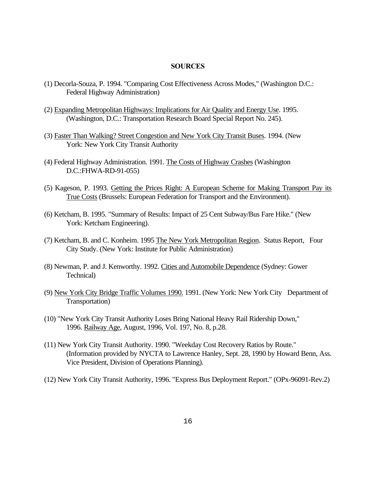#### **SOURCES**

- (1) Decorla-Souza, P. 1994. "Comparing Cost Effectiveness Across Modes," (Washington D.C.: Federal Highway Administration)
- (2) Expanding Metropolitan Highways: Implications for Air Quality and Energy Use. 1995. (Washington, D.C.: Transportation Research Board Special Report No. 245).
- (3) Faster Than Walking? Street Congestion and New York City Transit Buses. 1994. (New York: New York City Transit Authority
- (4) Federal Highway Administration. 1991. The Costs of Highway Crashes (Washington D.C.:FHWA-RD-91-055)
- (5) Kageson, P. 1993. Getting the Prices Right: A European Scheme for Making Transport Pay its True Costs (Brussels: European Federation for Transport and the Environment).
- (6) Ketcham, B. 1995. "Summary of Results: Impact of 25 Cent Subway/Bus Fare Hike." (New York: Ketcham Engineering).
- (7) Ketcham, B. and C. Konheim. 1995 The New York Metropolitan Region. Status Report, Four City Study. (New York: Institute for Public Administration)
- (8) Newman, P. and J. Kenworthy. 1992. Cities and Automobile Dependence (Sydney: Gower Technical)
- (9) New York City Bridge Traffic Volumes 1990. 1991. (New York: New York City Department of Transportation)
- (10) "New York City Transit Authority Loses Bring National Heavy Rail Ridership Down," 1996. Railway Age, August, 1996, Vol. 197, No. 8, p.28.
- (11) New York City Transit Authority. 1990. "Weekday Cost Recovery Ratios by Route." (Information provided by NYCTA to Lawrence Hanley, Sept. 28, 1990 by Howard Benn, Ass. Vice President, Division of Operations Planning).
- (12) New York City Transit Authority, 1996. "Express Bus Deployment Report." (OPx-96091-Rev.2)